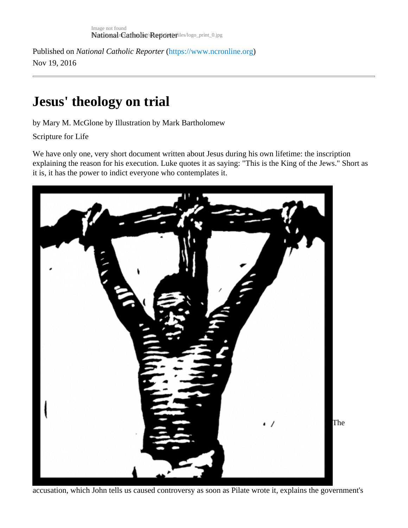Published on National Catholic Repo[r](https://www.ncronline.org)te [\(https://www.ncronline.or](https://www.ncronline.org)g) Nov 19, 2016

## Jesus' theology on trial

by Mary M. McGlone by Illustration by Mark Bartholomew

Scripture for Life

We have only one, very short document written about Jesus during his own lifetime: the inscription explaining the reason for his execution. Luke quotes it as saying: "This is the King of the Jews." Short as it is, it has the power to indict everyone who contemplates it.

The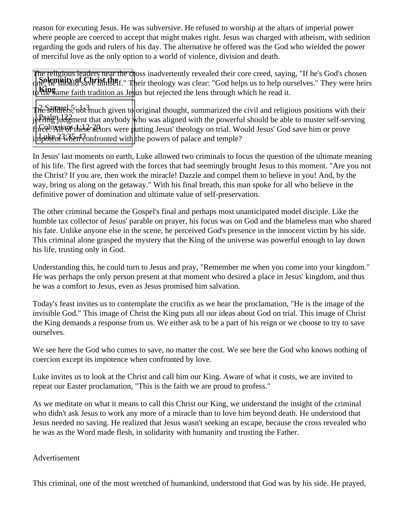reason for executing Jesus. He was subversive. He refused to worship at the altars of imperial power where people are coerced to accept that might makes right. Jesus was charged with atheism, with sedition regarding the gods and rulers of his day. The alternative he offered was the God who wielded the power of merciful love as the only option to a world of violence, division and death.

**Solemnity of Christ the**<br>
one, he should save himself." Their theology was clear: "God helps us to help ourselves." They were heirs **King**<br>to the same faith tradition as Jesus but rejected the lens through which he read it. The religious leaders near the choss inadvertently revealed their core creed, saying, "If he's God's chosen

 $\frac{1}{2}$ Re Soldiers, not much given to original thought, summarized the civil and religious positions with their Psalm 122 jeering judgment that anybody who was aligned with the powerful should be able to muster self-serving forceloggians these actors were putting Jesus' theology on trial. Would Jesus' God save him or prove  $\frac{1}{2}$ 

In Jesus' last moments on earth, Luke allowed two criminals to focus the question of the ultimate meaning of his life. The first agreed with the forces that had seemingly brought Jesus to this moment. "Are you not the Christ? If you are, then work the miracle! Dazzle and compel them to believe in you! And, by the way, bring us along on the getaway." With his final breath, this man spoke for all who believe in the definitive power of domination and ultimate value of self-preservation.

The other criminal became the Gospel's final and perhaps most unanticipated model disciple. Like the humble tax collector of Jesus' parable on prayer, his focus was on God and the blameless man who shared his fate. Unlike anyone else in the scene, he perceived God's presence in the innocent victim by his side. This criminal alone grasped the mystery that the King of the universe was powerful enough to lay down his life, trusting only in God.

Understanding this, he could turn to Jesus and pray, "Remember me when you come into your kingdom." He was perhaps the only person present at that moment who desired a place in Jesus' kingdom, and thus he was a comfort to Jesus, even as Jesus promised him salvation.

Today's feast invites us to contemplate the crucifix as we hear the proclamation, "He is the image of the invisible God." This image of Christ the King puts all our ideas about God on trial. This image of Christ the King demands a response from us. We either ask to be a part of his reign or we choose to try to save ourselves.

We see here the God who comes to save, no matter the cost. We see here the God who knows nothing of coercion except its impotence when confronted by love.

Luke invites us to look at the Christ and call him our King. Aware of what it costs, we are invited to repeat our Easter proclamation, "This is the faith we are proud to profess."

As we meditate on what it means to call this Christ our King, we understand the insight of the criminal who didn't ask Jesus to work any more of a miracle than to love him beyond death. He understood that Jesus needed no saving. He realized that Jesus wasn't seeking an escape, because the cross revealed who he was as the Word made flesh, in solidarity with humanity and trusting the Father.

Advertisement

This criminal, one of the most wretched of humankind, understood that God was by his side. He prayed,